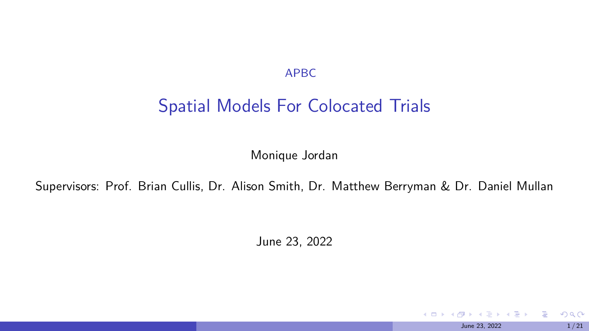APBC

### Spatial Models For Colocated Trials

Monique Jordan

Supervisors: Prof. Brian Cullis, Dr. Alison Smith, Dr. Matthew Berryman & Dr. Daniel Mullan

June 23, 2022

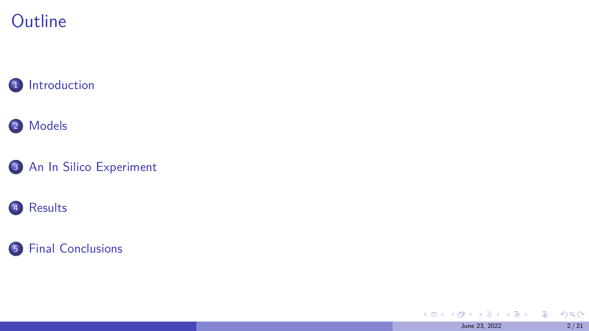## **Outline**

1 [Introduction](#page-2-0)

#### <sup>2</sup> [Models](#page-8-0)

<sup>3</sup> [An In Silico Experiment](#page-13-0)

#### <sup>4</sup> [Results](#page-16-0)

#### <sup>5</sup> [Final Conclusions](#page-18-0)

**←ロ ▶ ← ( 倒 )** ÷  $\mathbb{R}^n \times \mathbb{R}^n \to \mathbb{R}^n$ 重。  $299$ June 23, 2022 2/21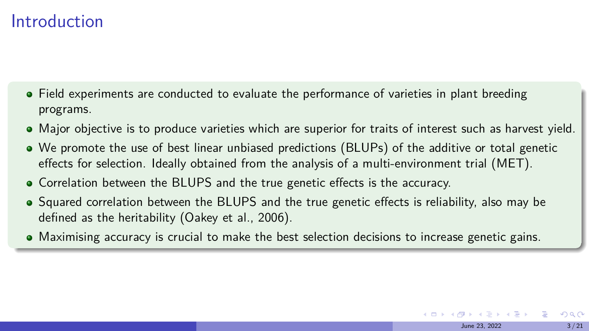### <span id="page-2-0"></span>Introduction

- Field experiments are conducted to evaluate the performance of varieties in plant breeding programs.
- Major objective is to produce varieties which are superior for traits of interest such as harvest yield.
- We promote the use of best linear unbiased predictions (BLUPs) of the additive or total genetic effects for selection. Ideally obtained from the analysis of a multi-environment trial (MET).
- Correlation between the BLUPS and the true genetic effects is the accuracy.
- Squared correlation between the BLUPS and the true genetic effects is reliability, also may be defined as the heritability (Oakey et al., 2006).
- Maximising accuracy is crucial to make the best selection decisions to increase genetic gains.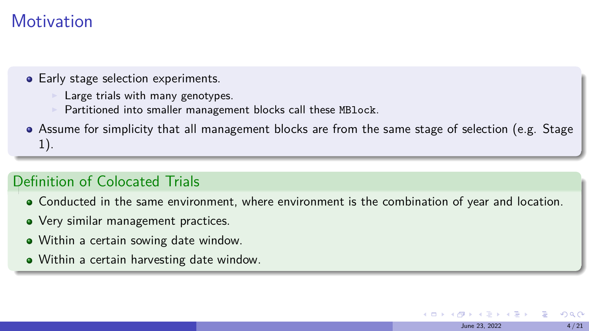### **Motivation**

- Early stage selection experiments.
	- Large trials with many genotypes.
	- Partitioned into smaller management blocks call these MBlock.
- Assume for simplicity that all management blocks are from the same stage of selection (e.g. Stage 1).

#### Definition of Colocated Trials

Conducted in the same environment, where environment is the combination of year and location.

June 23, 2022 4 / 21

 $209$ 

- Very similar management practices.
- Within a certain sowing date window.
- Within a certain harvesting date window.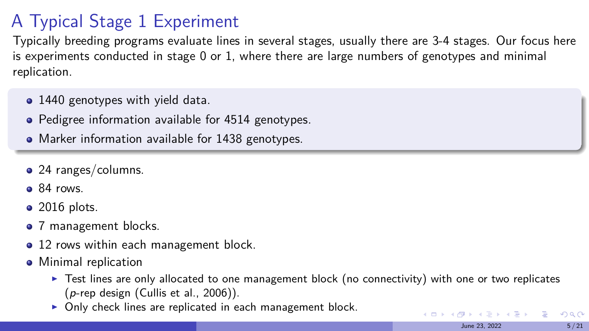# A Typical Stage 1 Experiment

Typically breeding programs evaluate lines in several stages, usually there are 3-4 stages. Our focus here is experiments conducted in stage 0 or 1, where there are large numbers of genotypes and minimal replication.

- 1440 genotypes with yield data.
- Pedigree information available for 4514 genotypes.
- Marker information available for 1438 genotypes.
- 24 ranges/columns.
- $\bullet$  84 rows.
- $\bullet$  2016 plots.
- 7 management blocks.
- 12 rows within each management block.
- Minimal replication
	- ▶ Test lines are only allocated to one management block (no connectivity) with one or two replicates  $(p$ -rep design (Cullis et al., 2006)).

June 23, 2022 5/21

 $2040$ 三 一

イロメ イ押 トイヨ トイヨメ

▶ Only check lines are replicated in each management block.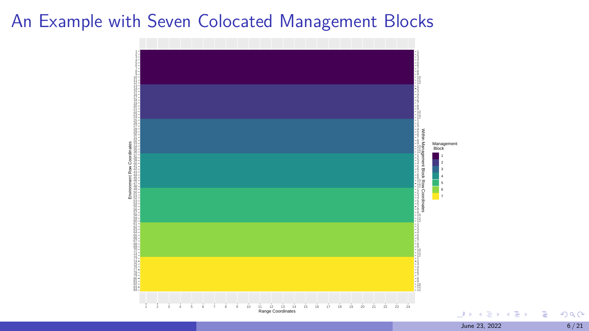### An Example with Seven Colocated Management Blocks



June 23, 2022 6/21

∍

Þ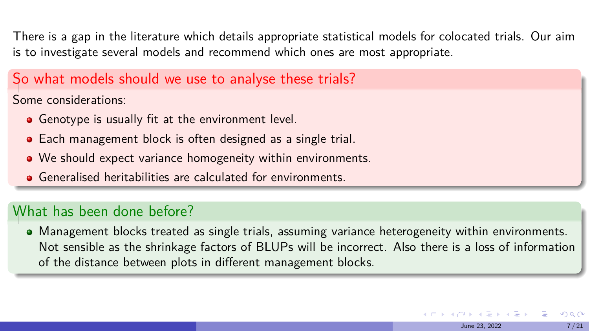<span id="page-6-0"></span>There is a gap in the literature which details appropriate statistical models for colocated trials. Our aim is to investigate several models and recommend which ones are most appropriate.

#### So what models should we use to analyse these trials?

Some considerations:

- **•** Genotype is usually fit at the environment level.
- Each management block is often designed as a single trial.
- We should expect variance homogeneity within environments.
- **•** Generalised heritabilities are calculated for environments.

#### What has been done before?

Management blocks treated as single trials, assuming variance heterogeneity within environments. Not sensible as the shrinkage factors of BLUPs will be incorrect. Also there is a loss of information of the distance between plots in different management blocks.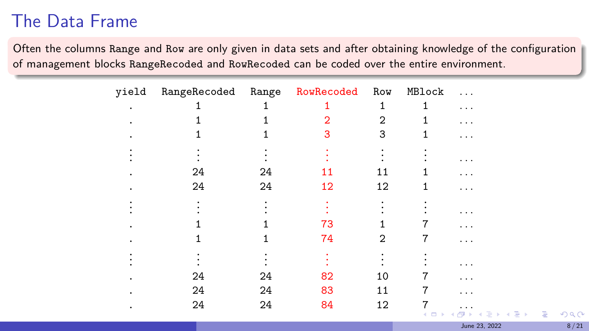## <span id="page-7-0"></span>The Data Frame

Often the columns Range and Row are only given in data sets and after obtaining knowledge of the configuration of management blocks RangeRecoded and RowRecoded can be coded over the entire environment.

| yield | RangeRecoded Range RowRecoded Row |    |    |    | MBlock | $\ddotsc$            |
|-------|-----------------------------------|----|----|----|--------|----------------------|
|       |                                   |    |    | 1  |        | .                    |
|       |                                   |    | 2  | 2  |        | .                    |
|       |                                   |    | 3  | 3  |        | .                    |
|       |                                   |    |    |    |        | .                    |
|       | 24                                | 24 | 11 | 11 |        | .                    |
|       | 24                                | 24 | 12 | 12 |        | .                    |
|       |                                   |    |    |    |        | .                    |
|       |                                   |    | 73 |    |        | .                    |
|       |                                   |    | 74 | 2  |        | .                    |
|       |                                   |    |    |    |        |                      |
|       | 24                                | 24 | 82 | 10 | 7      | .                    |
|       | 24                                | 24 | 83 | 11 |        | .                    |
|       | 24                                | 24 | 84 | 12 |        | .<br>イロト イ押ト イヨト イヨト |
|       |                                   |    |    |    |        |                      |

June 23, 2022 8/21

 $299$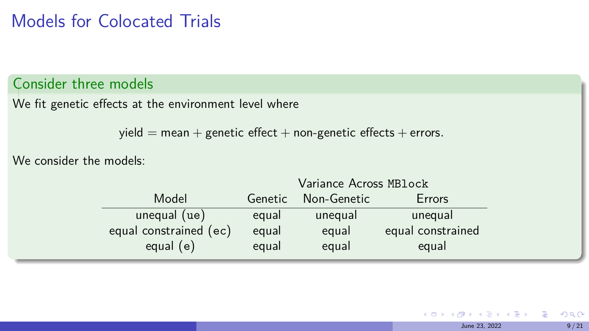### <span id="page-8-0"></span>Models for Colocated Trials

#### Consider three models

We fit genetic effects at the environment level where

 $yield = mean + genetic effect + non-genetic effect + non-genetic effects + errors.$ 

We consider the models:

|                        | variance Across MBLOCK |             |                   |  |  |
|------------------------|------------------------|-------------|-------------------|--|--|
| Model                  | Genetic                | Non-Genetic | Errors            |  |  |
| unequal (ue)           | equal                  | unequal     | unequal           |  |  |
| equal constrained (ec) | equal                  | equal       | equal constrained |  |  |
| equal $(e)$            | equal                  | equal       | equal             |  |  |
|                        |                        |             |                   |  |  |

 $\lambda$  and  $\lambda$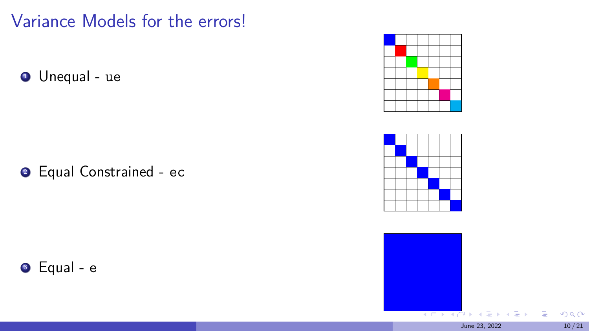Variance Models for the errors!

**1** Unequal - ue

**2** Equal Constrained - ec

**3** Equal - e







 $299$ 

Þ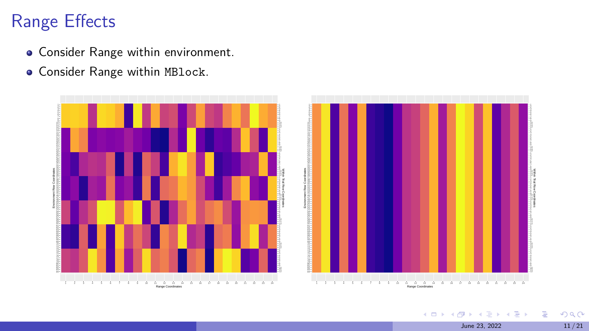## Range Effects

- **Consider Range within environment.**
- **Consider Range within MBlock.**



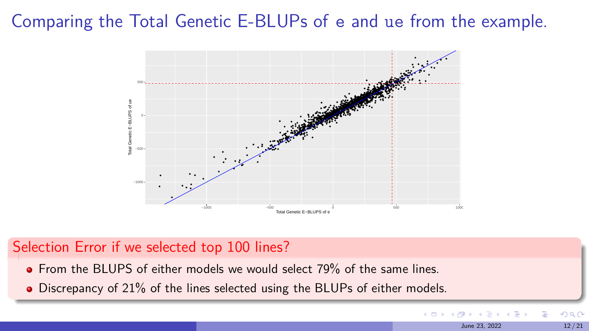## Comparing the Total Genetic E-BLUPs of e and ue from the example.



June 23, 2022 12/21

 $\Rightarrow$ 

 $\leftarrow$   $\Box$ 

 $QQ$ 

#### Selection Error if we selected top 100 lines?

- **•** From the BLUPS of either models we would select 79% of the same lines.
- Discrepancy of 21% of the lines selected using the BLUPs of either models.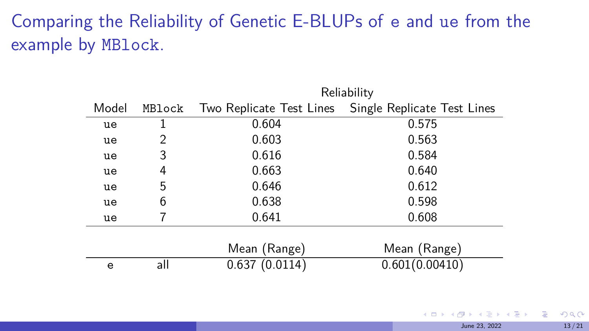# <span id="page-12-0"></span>Comparing the Reliability of Genetic E-BLUPs of e and ue from the example by MBlock.

|       |        | Reliability   |                                                      |  |  |  |
|-------|--------|---------------|------------------------------------------------------|--|--|--|
| Model | MBlock |               | Two Replicate Test Lines Single Replicate Test Lines |  |  |  |
| ue    |        | 0.604         | 0.575                                                |  |  |  |
| ue    | 2      | 0.603         | 0.563                                                |  |  |  |
| ue    | 3      | 0.616         | 0.584                                                |  |  |  |
| ue    | 4      | 0.663         | 0.640                                                |  |  |  |
| ue    | 5      | 0.646         | 0.612                                                |  |  |  |
| ue    | 6      | 0.638         | 0.598                                                |  |  |  |
| ue    |        | 0.641         | 0.608                                                |  |  |  |
|       |        |               |                                                      |  |  |  |
|       |        | Mean (Range)  | Mean (Range)                                         |  |  |  |
| e     | all    | 0.637(0.0114) | 0.601(0.00410)                                       |  |  |  |

Reliability

4 D F

 $\leftarrow \equiv$ 

 $299$ 

E.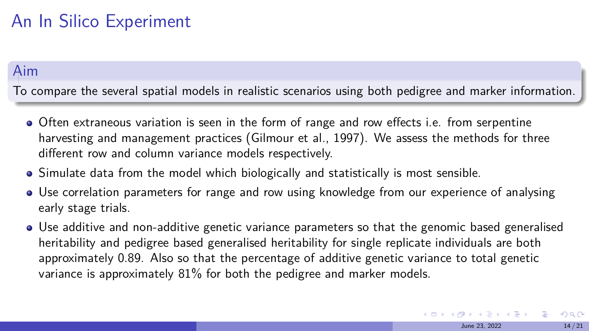## <span id="page-13-0"></span>An In Silico Experiment

#### Aim

To compare the several spatial models in realistic scenarios using both pedigree and marker information.

- Often extraneous variation is seen in the form of range and row effects i.e. from serpentine harvesting and management practices (Gilmour et al., 1997). We assess the methods for three different row and column variance models respectively.
- Simulate data from the model which biologically and statistically is most sensible.
- Use correlation parameters for range and row using knowledge from our experience of analysing early stage trials.
- Use additive and non-additive genetic variance parameters so that the genomic based generalised heritability and pedigree based generalised heritability for single replicate individuals are both approximately 0.89. Also so that the percentage of additive genetic variance to total genetic variance is approximately 81% for both the pedigree and marker models.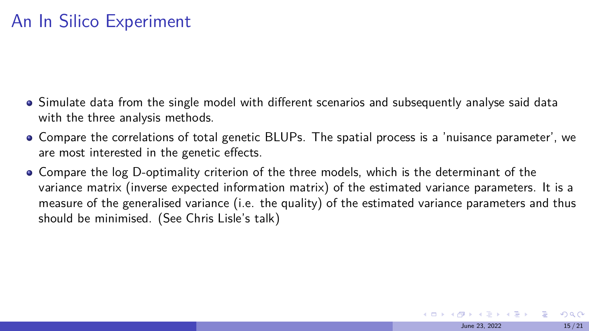## <span id="page-14-0"></span>An In Silico Experiment

- Simulate data from the single model with different scenarios and subsequently analyse said data with the three analysis methods.
- Compare the correlations of total genetic BLUPs. The spatial process is a 'nuisance parameter', we are most interested in the genetic effects.
- Compare the log D-optimality criterion of the three models, which is the determinant of the variance matrix (inverse expected information matrix) of the estimated variance parameters. It is a measure of the generalised variance (i.e. the quality) of the estimated variance parameters and thus should be minimised. (See Chris Lisle's talk)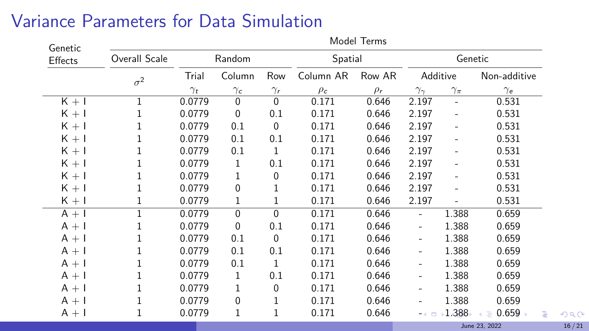## <span id="page-15-0"></span>Variance Parameters for Data Simulation

| Genetic | <b>NOUGL LETTIS</b> |                     |                      |                   |                       |                    |                              |                          |              |
|---------|---------------------|---------------------|----------------------|-------------------|-----------------------|--------------------|------------------------------|--------------------------|--------------|
| Effects | Overall Scale       | Random              |                      | Spatial           |                       | Genetic            |                              |                          |              |
|         | $\sigma^2$          | Trial<br>$\gamma_t$ | Column<br>$\gamma_c$ | Row<br>$\gamma_r$ | Column AR<br>$\rho_c$ | Row AR<br>$\rho_r$ | Additive                     |                          | Non-additive |
|         |                     |                     |                      |                   |                       |                    | $\gamma_{\gamma}$            | $\gamma_\pi$             | $\gamma_e$   |
| $K + I$ | 1                   | 0.0779              | $\mathbf 0$          | $\mathbf 0$       | 0.171                 | 0.646              | 2.197                        | $\overline{\phantom{0}}$ | 0.531        |
| $K + I$ |                     | 0.0779              | 0                    | 0.1               | 0.171                 | 0.646              | 2.197                        | $\overline{a}$           | 0.531        |
| $K + I$ |                     | 0.0779              | 0.1                  | $\Omega$          | 0.171                 | 0.646              | 2.197                        | $\overline{a}$           | 0.531        |
| $K + I$ |                     | 0.0779              | 0.1                  | 0.1               | 0.171                 | 0.646              | 2.197                        |                          | 0.531        |
| $K + I$ |                     | 0.0779              | 0.1                  | 1                 | 0.171                 | 0.646              | 2.197                        |                          | 0.531        |
| $K + I$ |                     | 0.0779              | 1                    | 0.1               | 0.171                 | 0.646              | 2.197                        | $\overline{a}$           | 0.531        |
| $K + I$ |                     | 0.0779              |                      | 0                 | 0.171                 | 0.646              | 2.197                        |                          | 0.531        |
| $K + I$ |                     | 0.0779              | 0                    |                   | 0.171                 | 0.646              | 2.197                        |                          | 0.531        |
| $K + I$ |                     | 0.0779              | 1                    | 1                 | 0.171                 | 0.646              | 2.197                        |                          | 0.531        |
| $A + I$ |                     | 0.0779              | $\Omega$             | $\mathbf{0}$      | 0.171                 | 0.646              | $\overline{\phantom{0}}$     | 1.388                    | 0.659        |
| $A + I$ |                     | 0.0779              | 0                    | 0.1               | 0.171                 | 0.646              | $\overline{\phantom{0}}$     | 1.388                    | 0.659        |
| $A + I$ |                     | 0.0779              | 0.1                  | $\Omega$          | 0.171                 | 0.646              | $\overline{\phantom{0}}$     | 1.388                    | 0.659        |
| $A + I$ |                     | 0.0779              | 0.1                  | 0.1               | 0.171                 | 0.646              | $\overline{\phantom{0}}$     | 1.388                    | 0.659        |
| $A + I$ |                     | 0.0779              | 0.1                  | 1                 | 0.171                 | 0.646              | $\overline{\phantom{0}}$     | 1.388                    | 0.659        |
| $A + I$ |                     | 0.0779              | 1                    | 0.1               | 0.171                 | 0.646              | $\qquad \qquad \blacksquare$ | 1.388                    | 0.659        |
| $A + I$ |                     | 0.0779              |                      | 0                 | 0.171                 | 0.646              | $\overline{\phantom{0}}$     | 1.388                    | 0.659        |
| $A + I$ |                     | 0.0779              | 0                    |                   | 0.171                 | 0.646              |                              | 1.388                    | 0.659        |
| $A + I$ |                     | 0.0779              | 1                    |                   | 0.171                 | 0.646              | m di                         | 1.388                    | 0.659<br>Þ   |
|         |                     |                     |                      |                   |                       |                    |                              |                          |              |

M<sub>od</sub>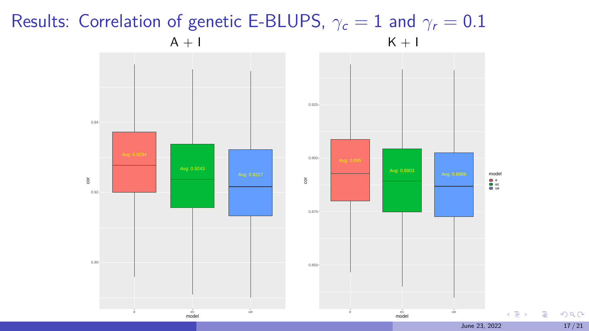### <span id="page-16-0"></span>Results: Correlation of genetic E-BLUPS,  $\gamma_c = 1$  and  $\gamma_r = 0.1$  $A + I$  K + I



 $299$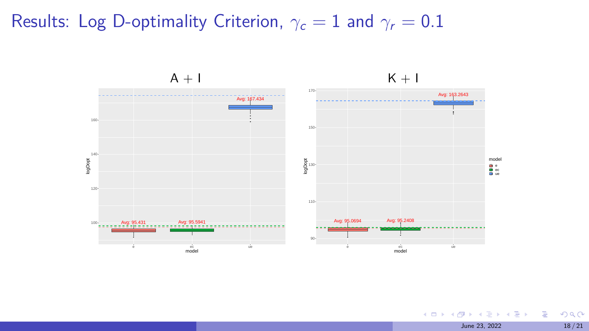## Results: Log D-optimality Criterion,  $\gamma_c = 1$  and  $\gamma_r = 0.1$



K ロ ▶ K @ ▶ K 할 ▶ K 할 ▶ ① 할 → ① 의 O June 23, 2022 18/21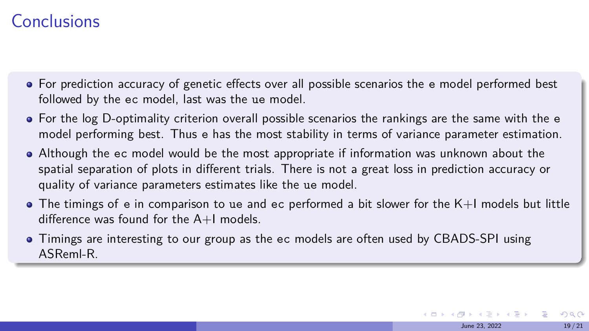### <span id="page-18-0"></span>Conclusions

- For prediction accuracy of genetic effects over all possible scenarios the e model performed best followed by the ec model, last was the ue model.
- For the log D-optimality criterion overall possible scenarios the rankings are the same with the e model performing best. Thus e has the most stability in terms of variance parameter estimation.
- Although the ec model would be the most appropriate if information was unknown about the spatial separation of plots in different trials. There is not a great loss in prediction accuracy or quality of variance parameters estimates like the ue model.
- $\bullet$  The timings of e in comparison to ue and ec performed a bit slower for the K+I models but little difference was found for the  $A+I$  models.

June 23, 2022 19/21

 $\Omega$ 

イロメ イ押 トイヨ トイヨメ

• Timings are interesting to our group as the ec models are often used by CBADS-SPI using ASReml-R.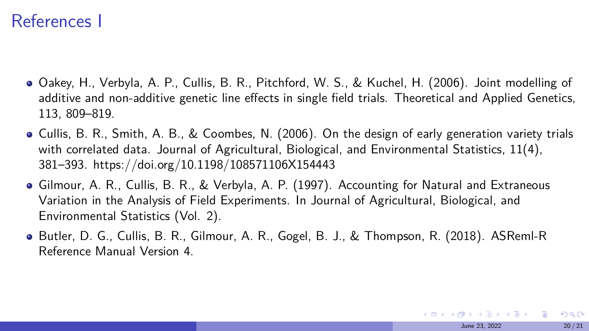#### References I

- Oakey, H., Verbyla, A. P., Cullis, B. R., Pitchford, W. S., & Kuchel, H. (2006). Joint modelling of additive and non-additive genetic line effects in single field trials. Theoretical and Applied Genetics, 113, 809–819.
- Cullis, B. R., Smith, A. B., & Coombes, N. (2006). On the design of early generation variety trials with correlated data. Journal of Agricultural, Biological, and Environmental Statistics, 11(4), 381–393. https://doi.org/10.1198/108571106X154443
- Gilmour, A. R., Cullis, B. R., & Verbyla, A. P. (1997). Accounting for Natural and Extraneous Variation in the Analysis of Field Experiments. In Journal of Agricultural, Biological, and Environmental Statistics (Vol. 2).
- Butler, D. G., Cullis, B. R., Gilmour, A. R., Gogel, B. J., & Thompson, R. (2018). ASReml-R Reference Manual Version 4.

**KOD KOD KED KED E VOOR** June 23, 2022 20/21